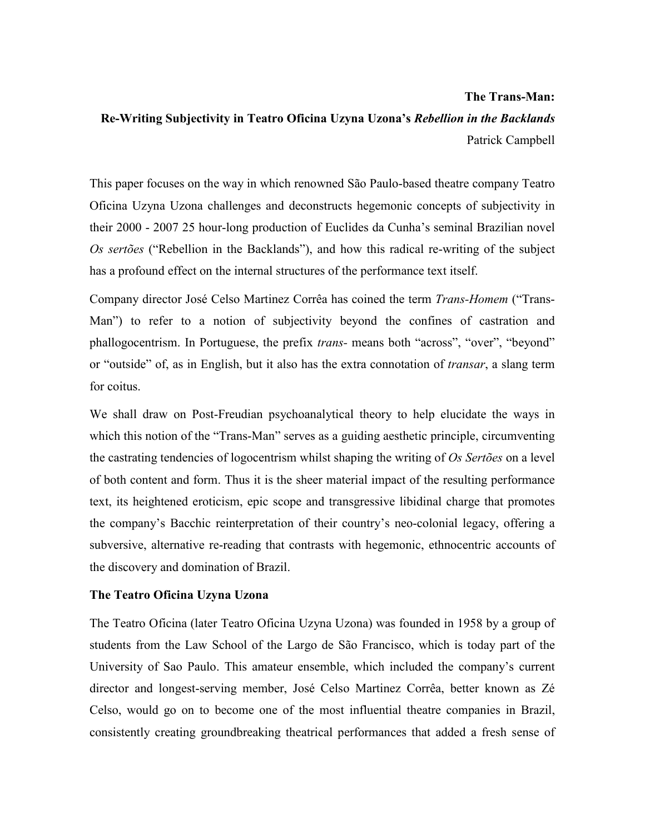# **The Trans-Man: Re-Writing Subjectivity in Teatro Oficina Uzyna Uzona's** *Rebellion in the Backlands*  Patrick Campbell

This paper focuses on the way in which renowned São Paulo-based theatre company Teatro Oficina Uzyna Uzona challenges and deconstructs hegemonic concepts of subjectivity in their 2000 - 2007 25 hour-long production of Euclides da Cunha's seminal Brazilian novel *Os sertões* ("Rebellion in the Backlands"), and how this radical re-writing of the subject has a profound effect on the internal structures of the performance text itself.

Company director José Celso Martinez Corrêa has coined the term *Trans-Homem* ("Trans-Man") to refer to a notion of subjectivity beyond the confines of castration and phallogocentrism. In Portuguese, the prefix *trans-* means both "across", "over", "beyond" or "outside" of, as in English, but it also has the extra connotation of *transar*, a slang term for coitus.

We shall draw on Post-Freudian psychoanalytical theory to help elucidate the ways in which this notion of the "Trans-Man" serves as a guiding aesthetic principle, circumventing the castrating tendencies of logocentrism whilst shaping the writing of *Os Sertões* on a level of both content and form. Thus it is the sheer material impact of the resulting performance text, its heightened eroticism, epic scope and transgressive libidinal charge that promotes the company's Bacchic reinterpretation of their country's neo-colonial legacy, offering a subversive, alternative re-reading that contrasts with hegemonic, ethnocentric accounts of the discovery and domination of Brazil.

# **The Teatro Oficina Uzyna Uzona**

The Teatro Oficina (later Teatro Oficina Uzyna Uzona) was founded in 1958 by a group of students from the Law School of the Largo de São Francisco, which is today part of the University of Sao Paulo. This amateur ensemble, which included the company's current director and longest-serving member, José Celso Martinez Corrêa, better known as Zé Celso, would go on to become one of the most influential theatre companies in Brazil, consistently creating groundbreaking theatrical performances that added a fresh sense of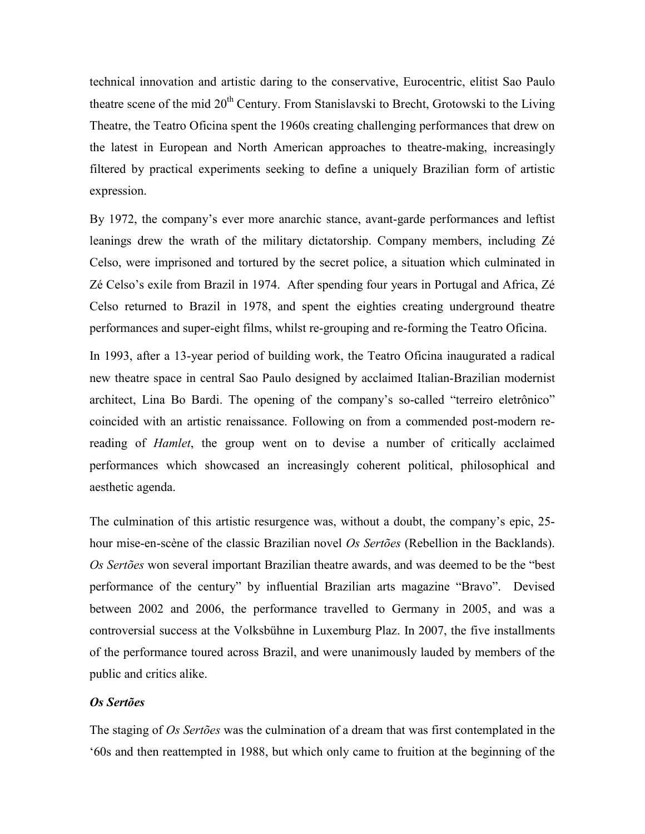technical innovation and artistic daring to the conservative, Eurocentric, elitist Sao Paulo theatre scene of the mid 20<sup>th</sup> Century. From Stanislavski to Brecht, Grotowski to the Living Theatre, the Teatro Oficina spent the 1960s creating challenging performances that drew on the latest in European and North American approaches to theatre-making, increasingly filtered by practical experiments seeking to define a uniquely Brazilian form of artistic expression.

By 1972, the company's ever more anarchic stance, avant-garde performances and leftist leanings drew the wrath of the military dictatorship. Company members, including Zé Celso, were imprisoned and tortured by the secret police, a situation which culminated in Zé Celso's exile from Brazil in 1974. After spending four years in Portugal and Africa, Zé Celso returned to Brazil in 1978, and spent the eighties creating underground theatre performances and super-eight films, whilst re-grouping and re-forming the Teatro Oficina.

In 1993, after a 13-year period of building work, the Teatro Oficina inaugurated a radical new theatre space in central Sao Paulo designed by acclaimed Italian-Brazilian modernist architect, Lina Bo Bardi. The opening of the company's so-called "terreiro eletrônico" coincided with an artistic renaissance. Following on from a commended post-modern rereading of *Hamlet*, the group went on to devise a number of critically acclaimed performances which showcased an increasingly coherent political, philosophical and aesthetic agenda.

The culmination of this artistic resurgence was, without a doubt, the company's epic, 25 hour mise-en-scène of the classic Brazilian novel *Os Sertões* (Rebellion in the Backlands). *Os Sertões* won several important Brazilian theatre awards, and was deemed to be the "best performance of the century" by influential Brazilian arts magazine "Bravo". Devised between 2002 and 2006, the performance travelled to Germany in 2005, and was a controversial success at the Volksbühne in Luxemburg Plaz. In 2007, the five installments of the performance toured across Brazil, and were unanimously lauded by members of the public and critics alike.

# *Os Sertões*

The staging of *Os Sertões* was the culmination of a dream that was first contemplated in the '60s and then reattempted in 1988, but which only came to fruition at the beginning of the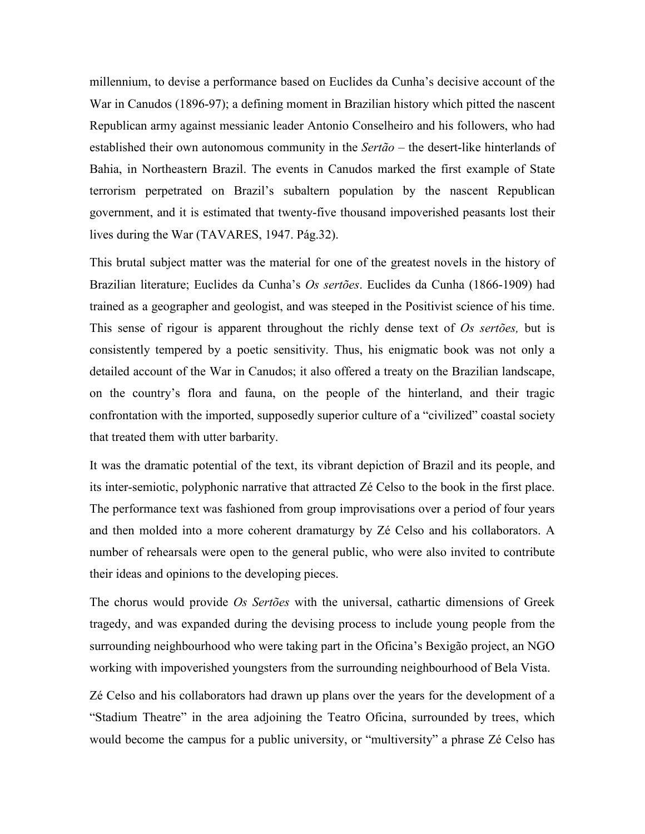millennium, to devise a performance based on Euclides da Cunha's decisive account of the War in Canudos (1896-97); a defining moment in Brazilian history which pitted the nascent Republican army against messianic leader Antonio Conselheiro and his followers, who had established their own autonomous community in the *Sertão* – the desert-like hinterlands of Bahia, in Northeastern Brazil. The events in Canudos marked the first example of State terrorism perpetrated on Brazil's subaltern population by the nascent Republican government, and it is estimated that twenty-five thousand impoverished peasants lost their lives during the War (TAVARES, 1947. Pág.32).

This brutal subject matter was the material for one of the greatest novels in the history of Brazilian literature; Euclides da Cunha's *Os sertões*. Euclides da Cunha (1866-1909) had trained as a geographer and geologist, and was steeped in the Positivist science of his time. This sense of rigour is apparent throughout the richly dense text of *Os sertões,* but is consistently tempered by a poetic sensitivity. Thus, his enigmatic book was not only a detailed account of the War in Canudos; it also offered a treaty on the Brazilian landscape, on the country's flora and fauna, on the people of the hinterland, and their tragic confrontation with the imported, supposedly superior culture of a "civilized" coastal society that treated them with utter barbarity.

It was the dramatic potential of the text, its vibrant depiction of Brazil and its people, and its inter-semiotic, polyphonic narrative that attracted Zé Celso to the book in the first place. The performance text was fashioned from group improvisations over a period of four years and then molded into a more coherent dramaturgy by Zé Celso and his collaborators. A number of rehearsals were open to the general public, who were also invited to contribute their ideas and opinions to the developing pieces.

The chorus would provide *Os Sertões* with the universal, cathartic dimensions of Greek tragedy, and was expanded during the devising process to include young people from the surrounding neighbourhood who were taking part in the Oficina's Bexigão project, an NGO working with impoverished youngsters from the surrounding neighbourhood of Bela Vista.

Zé Celso and his collaborators had drawn up plans over the years for the development of a "Stadium Theatre" in the area adjoining the Teatro Oficina, surrounded by trees, which would become the campus for a public university, or "multiversity" a phrase Zé Celso has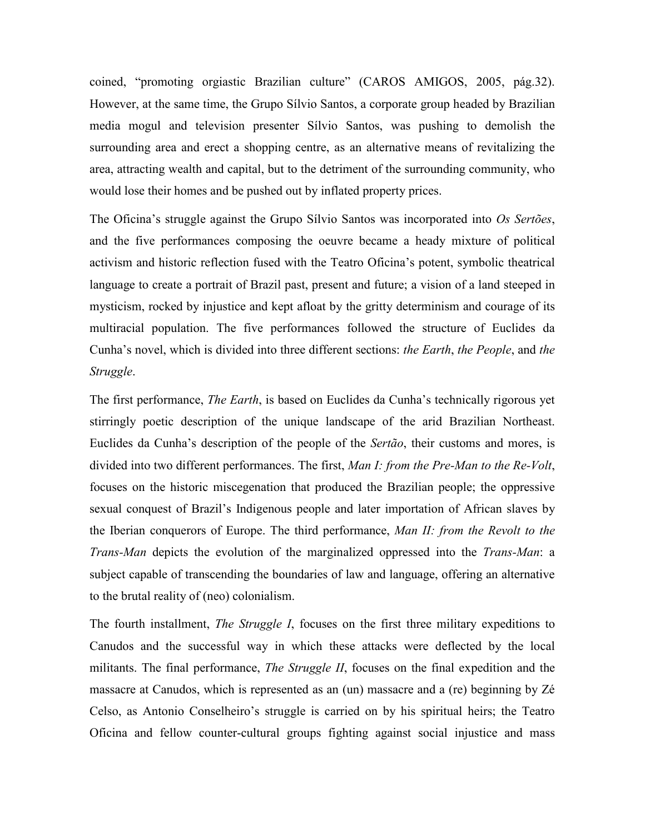coined, "promoting orgiastic Brazilian culture" (CAROS AMIGOS, 2005, pág.32). However, at the same time, the Grupo Sílvio Santos, a corporate group headed by Brazilian media mogul and television presenter Sílvio Santos, was pushing to demolish the surrounding area and erect a shopping centre, as an alternative means of revitalizing the area, attracting wealth and capital, but to the detriment of the surrounding community, who would lose their homes and be pushed out by inflated property prices.

The Oficina's struggle against the Grupo Sílvio Santos was incorporated into *Os Sertões*, and the five performances composing the oeuvre became a heady mixture of political activism and historic reflection fused with the Teatro Oficina's potent, symbolic theatrical language to create a portrait of Brazil past, present and future; a vision of a land steeped in mysticism, rocked by injustice and kept afloat by the gritty determinism and courage of its multiracial population. The five performances followed the structure of Euclides da Cunha's novel, which is divided into three different sections: *the Earth*, *the People*, and *the Struggle*.

The first performance, *The Earth*, is based on Euclides da Cunha's technically rigorous yet stirringly poetic description of the unique landscape of the arid Brazilian Northeast. Euclides da Cunha's description of the people of the *Sertão*, their customs and mores, is divided into two different performances. The first, *Man I: from the Pre-Man to the Re-Volt*, focuses on the historic miscegenation that produced the Brazilian people; the oppressive sexual conquest of Brazil's Indigenous people and later importation of African slaves by the Iberian conquerors of Europe. The third performance, *Man II: from the Revolt to the Trans-Man* depicts the evolution of the marginalized oppressed into the *Trans-Man*: a subject capable of transcending the boundaries of law and language, offering an alternative to the brutal reality of (neo) colonialism.

The fourth installment, *The Struggle I*, focuses on the first three military expeditions to Canudos and the successful way in which these attacks were deflected by the local militants. The final performance, *The Struggle II*, focuses on the final expedition and the massacre at Canudos, which is represented as an (un) massacre and a (re) beginning by Zé Celso, as Antonio Conselheiro's struggle is carried on by his spiritual heirs; the Teatro Oficina and fellow counter-cultural groups fighting against social injustice and mass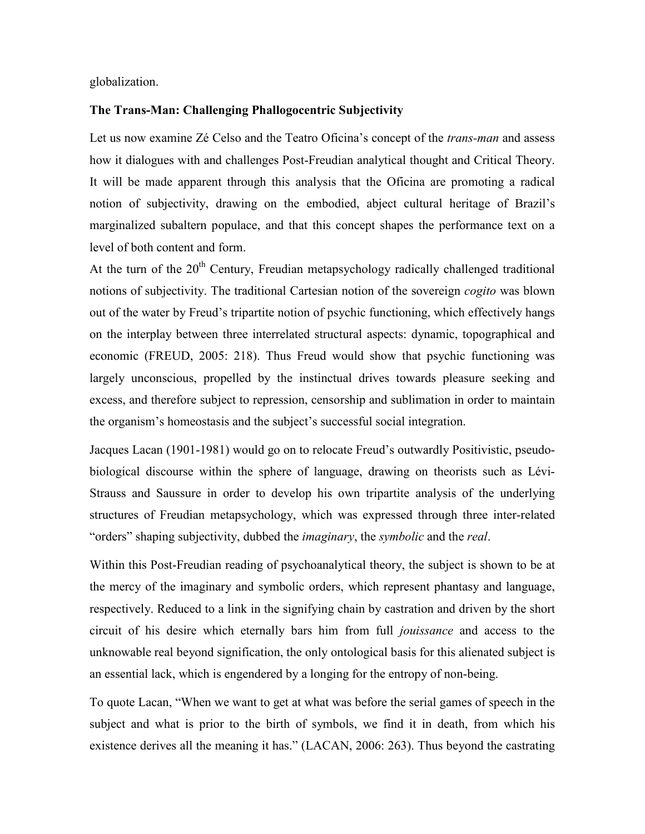globalization.

# **The Trans-Man: Challenging Phallogocentric Subjectivity**

Let us now examine Zé Celso and the Teatro Oficina's concept of the *trans-man* and assess how it dialogues with and challenges Post-Freudian analytical thought and Critical Theory. It will be made apparent through this analysis that the Oficina are promoting a radical notion of subjectivity, drawing on the embodied, abject cultural heritage of Brazil's marginalized subaltern populace, and that this concept shapes the performance text on a level of both content and form.

At the turn of the  $20<sup>th</sup>$  Century, Freudian metapsychology radically challenged traditional notions of subjectivity. The traditional Cartesian notion of the sovereign *cogito* was blown out of the water by Freud's tripartite notion of psychic functioning, which effectively hangs on the interplay between three interrelated structural aspects: dynamic, topographical and economic (FREUD, 2005: 218). Thus Freud would show that psychic functioning was largely unconscious, propelled by the instinctual drives towards pleasure seeking and excess, and therefore subject to repression, censorship and sublimation in order to maintain the organism's homeostasis and the subject's successful social integration.

Jacques Lacan (1901-1981) would go on to relocate Freud's outwardly Positivistic, pseudobiological discourse within the sphere of language, drawing on theorists such as Lévi-Strauss and Saussure in order to develop his own tripartite analysis of the underlying structures of Freudian metapsychology, which was expressed through three inter-related "orders" shaping subjectivity, dubbed the *imaginary*, the *symbolic* and the *real*.

Within this Post-Freudian reading of psychoanalytical theory, the subject is shown to be at the mercy of the imaginary and symbolic orders, which represent phantasy and language, respectively. Reduced to a link in the signifying chain by castration and driven by the short circuit of his desire which eternally bars him from full *jouissance* and access to the unknowable real beyond signification, the only ontological basis for this alienated subject is an essential lack, which is engendered by a longing for the entropy of non-being.

To quote Lacan, "When we want to get at what was before the serial games of speech in the subject and what is prior to the birth of symbols, we find it in death, from which his existence derives all the meaning it has." (LACAN, 2006: 263). Thus beyond the castrating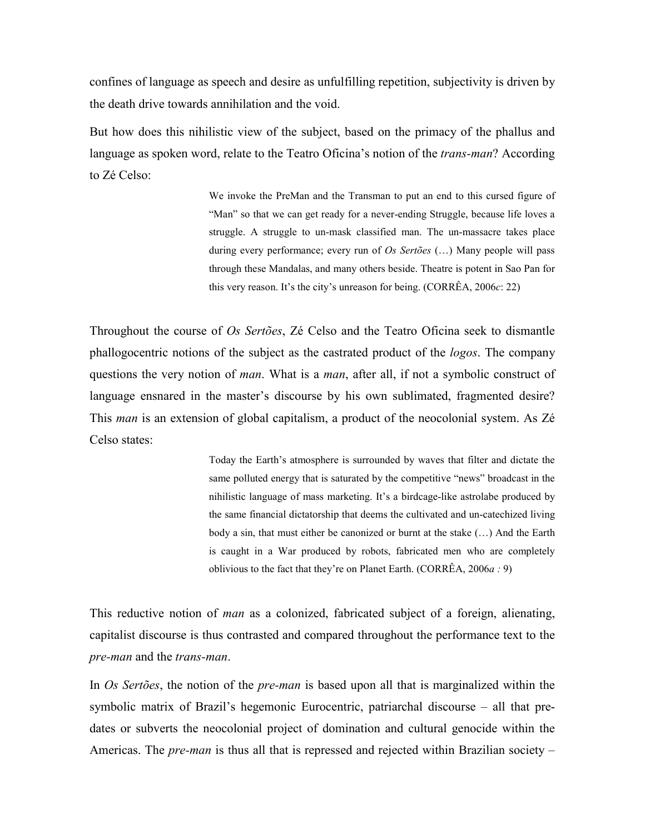confines of language as speech and desire as unfulfilling repetition, subjectivity is driven by the death drive towards annihilation and the void.

But how does this nihilistic view of the subject, based on the primacy of the phallus and language as spoken word, relate to the Teatro Oficina's notion of the *trans-man*? According to Zé Celso:

> We invoke the PreMan and the Transman to put an end to this cursed figure of "Man" so that we can get ready for a never-ending Struggle, because life loves a struggle. A struggle to un-mask classified man. The un-massacre takes place during every performance; every run of *Os Sertões* (…) Many people will pass through these Mandalas, and many others beside. Theatre is potent in Sao Pan for this very reason. It's the city's unreason for being. (CORRÊA, 2006*c*: 22)

Throughout the course of *Os Sertões*, Zé Celso and the Teatro Oficina seek to dismantle phallogocentric notions of the subject as the castrated product of the *logos*. The company questions the very notion of *man*. What is a *man*, after all, if not a symbolic construct of language ensnared in the master's discourse by his own sublimated, fragmented desire? This *man* is an extension of global capitalism, a product of the neocolonial system. As Zé Celso states:

> Today the Earth's atmosphere is surrounded by waves that filter and dictate the same polluted energy that is saturated by the competitive "news" broadcast in the nihilistic language of mass marketing. It's a birdcage-like astrolabe produced by the same financial dictatorship that deems the cultivated and un-catechized living body a sin, that must either be canonized or burnt at the stake (…) And the Earth is caught in a War produced by robots, fabricated men who are completely oblivious to the fact that they're on Planet Earth. (CORRÊA, 2006*a :* 9)

This reductive notion of *man* as a colonized, fabricated subject of a foreign, alienating, capitalist discourse is thus contrasted and compared throughout the performance text to the *pre-man* and the *trans-man*.

In *Os Sertões*, the notion of the *pre-man* is based upon all that is marginalized within the symbolic matrix of Brazil's hegemonic Eurocentric, patriarchal discourse – all that predates or subverts the neocolonial project of domination and cultural genocide within the Americas. The *pre-man* is thus all that is repressed and rejected within Brazilian society –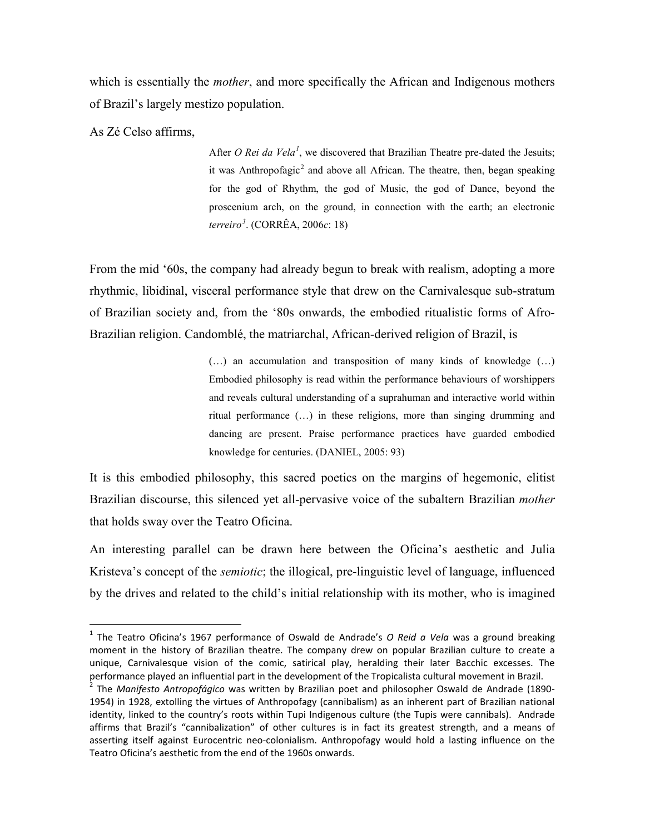which is essentially the *mother*, and more specifically the African and Indigenous mothers of Brazil's largely mestizo population.

As Zé Celso affirms,

<u>.</u>

After *O Rei da Vela<sup>[1](#page-6-0)</sup>*, we discovered that Brazilian Theatre pre-dated the Jesuits; it was Anthropofagic<sup>[2](#page-6-1)</sup> and above all African. The theatre, then, began speaking for the god of Rhythm, the god of Music, the god of Dance, beyond the proscenium arch, on the ground, in connection with the earth; an electronic *terreiro[3](#page-6-2)* . (CORRÊA, 2006*c*: 18)

From the mid '60s, the company had already begun to break with realism, adopting a more rhythmic, libidinal, visceral performance style that drew on the Carnivalesque sub-stratum of Brazilian society and, from the '80s onwards, the embodied ritualistic forms of Afro-Brazilian religion. Candomblé, the matriarchal, African-derived religion of Brazil, is

> (…) an accumulation and transposition of many kinds of knowledge (…) Embodied philosophy is read within the performance behaviours of worshippers and reveals cultural understanding of a suprahuman and interactive world within ritual performance (…) in these religions, more than singing drumming and dancing are present. Praise performance practices have guarded embodied knowledge for centuries. (DANIEL, 2005: 93)

It is this embodied philosophy, this sacred poetics on the margins of hegemonic, elitist Brazilian discourse, this silenced yet all-pervasive voice of the subaltern Brazilian *mother* that holds sway over the Teatro Oficina.

An interesting parallel can be drawn here between the Oficina's aesthetic and Julia Kristeva's concept of the *semiotic*; the illogical, pre-linguistic level of language, influenced by the drives and related to the child's initial relationship with its mother, who is imagined

<span id="page-6-0"></span><sup>1</sup> The Teatro Oficina's 1967 performance of Oswald de Andrade's *O Reid a Vela* was a ground breaking moment in the history of Brazilian theatre. The company drew on popular Brazilian culture to create a unique, Carnivalesque vision of the comic, satirical play, heralding their later Bacchic excesses. The performance played an influential part in the development of the Tropicalista cultural movement in Brazil.

<span id="page-6-2"></span><span id="page-6-1"></span><sup>2</sup> The *Manifesto Antropofágico* was written by Brazilian poet and philosopher Oswald de Andrade (1890- 1954) in 1928, extolling the virtues of Anthropofagy (cannibalism) as an inherent part of Brazilian national identity, linked to the country's roots within Tupi Indigenous culture (the Tupis were cannibals). Andrade affirms that Brazil's "cannibalization" of other cultures is in fact its greatest strength, and a means of asserting itself against Eurocentric neo-colonialism. Anthropofagy would hold a lasting influence on the Teatro Oficina's aesthetic from the end of the 1960s onwards.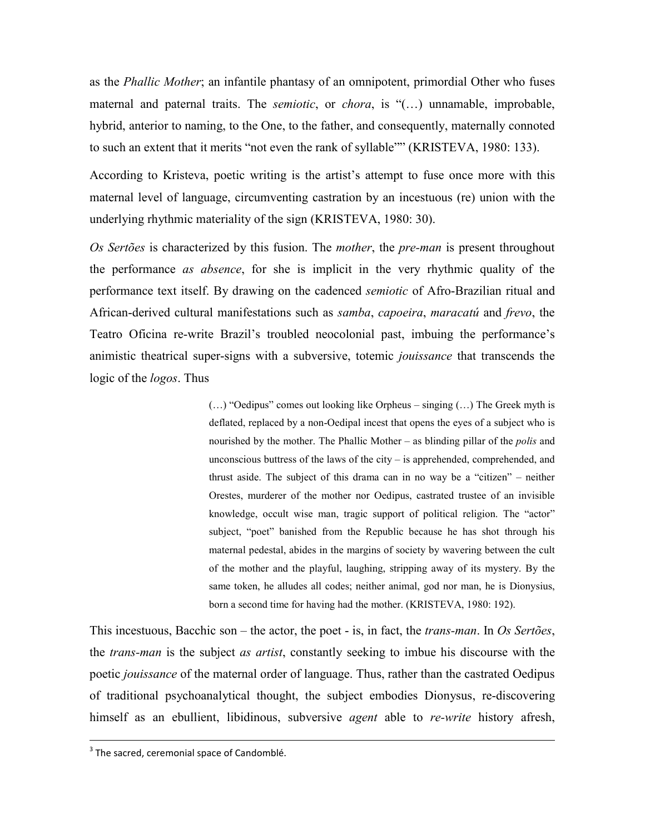as the *Phallic Mother*; an infantile phantasy of an omnipotent, primordial Other who fuses maternal and paternal traits. The *semiotic*, or *chora*, is "(…) unnamable, improbable, hybrid, anterior to naming, to the One, to the father, and consequently, maternally connoted to such an extent that it merits "not even the rank of syllable"" (KRISTEVA, 1980: 133).

According to Kristeva, poetic writing is the artist's attempt to fuse once more with this maternal level of language, circumventing castration by an incestuous (re) union with the underlying rhythmic materiality of the sign (KRISTEVA, 1980: 30).

*Os Sertões* is characterized by this fusion. The *mother*, the *pre-man* is present throughout the performance *as absence*, for she is implicit in the very rhythmic quality of the performance text itself. By drawing on the cadenced *semiotic* of Afro-Brazilian ritual and African-derived cultural manifestations such as *samba*, *capoeira*, *maracatú* and *frevo*, the Teatro Oficina re-write Brazil's troubled neocolonial past, imbuing the performance's animistic theatrical super-signs with a subversive, totemic *jouissance* that transcends the logic of the *logos*. Thus

> (…) "Oedipus" comes out looking like Orpheus – singing (…) The Greek myth is deflated, replaced by a non-Oedipal incest that opens the eyes of a subject who is nourished by the mother. The Phallic Mother – as blinding pillar of the *polis* and unconscious buttress of the laws of the city – is apprehended, comprehended, and thrust aside. The subject of this drama can in no way be a "citizen" – neither Orestes, murderer of the mother nor Oedipus, castrated trustee of an invisible knowledge, occult wise man, tragic support of political religion. The "actor" subject, "poet" banished from the Republic because he has shot through his maternal pedestal, abides in the margins of society by wavering between the cult of the mother and the playful, laughing, stripping away of its mystery. By the same token, he alludes all codes; neither animal, god nor man, he is Dionysius, born a second time for having had the mother. (KRISTEVA, 1980: 192).

This incestuous, Bacchic son – the actor, the poet - is, in fact, the *trans-man*. In *Os Sertões*, the *trans-man* is the subject *as artist*, constantly seeking to imbue his discourse with the poetic *jouissance* of the maternal order of language. Thus, rather than the castrated Oedipus of traditional psychoanalytical thought, the subject embodies Dionysus, re-discovering himself as an ebullient, libidinous, subversive *agent* able to *re-write* history afresh,

 $3$  The sacred, ceremonial space of Candomblé.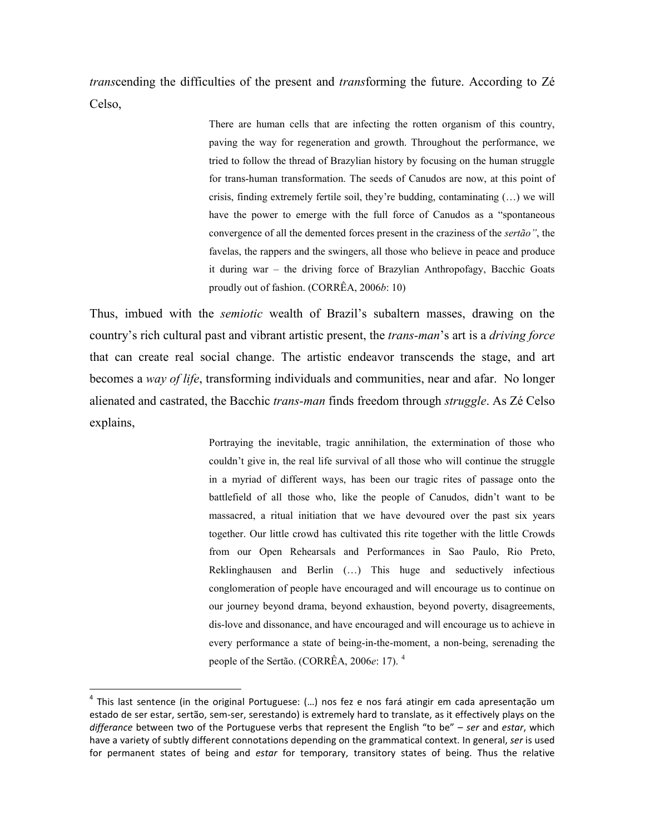*trans*cending the difficulties of the present and *trans*forming the future. According to Zé Celso,

> There are human cells that are infecting the rotten organism of this country, paving the way for regeneration and growth. Throughout the performance, we tried to follow the thread of Brazylian history by focusing on the human struggle for trans-human transformation. The seeds of Canudos are now, at this point of crisis, finding extremely fertile soil, they're budding, contaminating (…) we will have the power to emerge with the full force of Canudos as a "spontaneous convergence of all the demented forces present in the craziness of the *sertão"*, the favelas, the rappers and the swingers, all those who believe in peace and produce it during war – the driving force of Brazylian Anthropofagy, Bacchic Goats proudly out of fashion. (CORRÊA, 2006*b*: 10)

Thus, imbued with the *semiotic* wealth of Brazil's subaltern masses, drawing on the country's rich cultural past and vibrant artistic present, the *trans-man*'s art is a *driving force*  that can create real social change. The artistic endeavor transcends the stage, and art becomes a *way of life*, transforming individuals and communities, near and afar. No longer alienated and castrated, the Bacchic *trans-man* finds freedom through *struggle*. As Zé Celso explains,

> Portraying the inevitable, tragic annihilation, the extermination of those who couldn't give in, the real life survival of all those who will continue the struggle in a myriad of different ways, has been our tragic rites of passage onto the battlefield of all those who, like the people of Canudos, didn't want to be massacred, a ritual initiation that we have devoured over the past six years together. Our little crowd has cultivated this rite together with the little Crowds from our Open Rehearsals and Performances in Sao Paulo, Rio Preto, Reklinghausen and Berlin (…) This huge and seductively infectious conglomeration of people have encouraged and will encourage us to continue on our journey beyond drama, beyond exhaustion, beyond poverty, disagreements, dis-love and dissonance, and have encouraged and will encourage us to achieve in every performance a state of being-in-the-moment, a non-being, serenading the people of the Sertão. (CORRÊA, 2006*e*: 17). [4](#page-8-0)

<u>.</u>

<span id="page-8-0"></span> $<sup>4</sup>$  This last sentence (in the original Portuguese: (...) nos fez e nos fará atingir em cada apresentação um</sup> estado de ser estar, sertão, sem-ser, serestando) is extremely hard to translate, as it effectively plays on the *differance* between two of the Portuguese verbs that represent the English "to be" – *ser* and *estar*, which have a variety of subtly different connotations depending on the grammatical context. In general, *ser* is used for permanent states of being and *estar* for temporary, transitory states of being. Thus the relative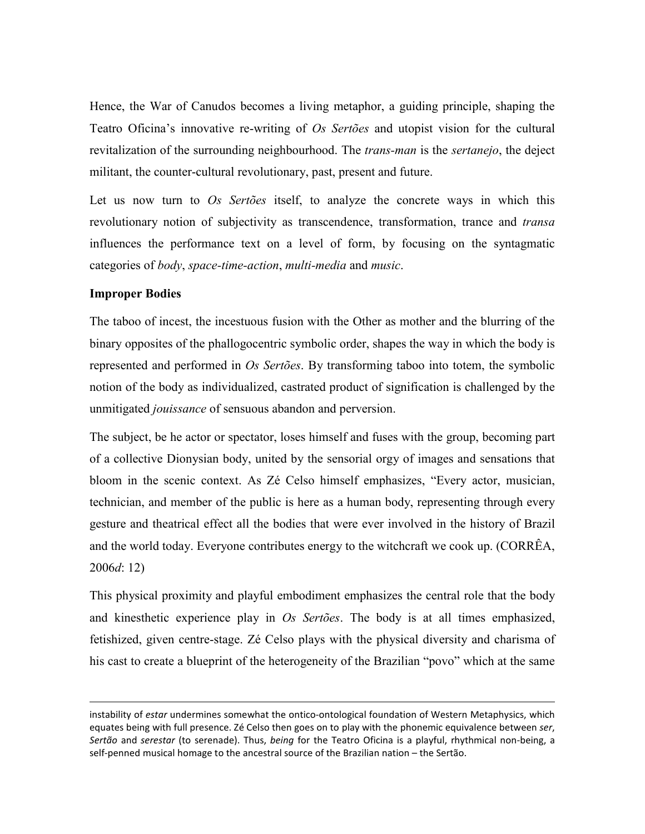Hence, the War of Canudos becomes a living metaphor, a guiding principle, shaping the Teatro Oficina's innovative re-writing of *Os Sertões* and utopist vision for the cultural revitalization of the surrounding neighbourhood. The *trans-man* is the *sertanejo*, the deject militant, the counter-cultural revolutionary, past, present and future.

Let us now turn to *Os Sertões* itself, to analyze the concrete ways in which this revolutionary notion of subjectivity as transcendence, transformation, trance and *transa* influences the performance text on a level of form, by focusing on the syntagmatic categories of *body*, *space-time-action*, *multi-media* and *music*.

#### **Improper Bodies**

-

The taboo of incest, the incestuous fusion with the Other as mother and the blurring of the binary opposites of the phallogocentric symbolic order, shapes the way in which the body is represented and performed in *Os Sertões*. By transforming taboo into totem, the symbolic notion of the body as individualized, castrated product of signification is challenged by the unmitigated *jouissance* of sensuous abandon and perversion.

The subject, be he actor or spectator, loses himself and fuses with the group, becoming part of a collective Dionysian body, united by the sensorial orgy of images and sensations that bloom in the scenic context. As Zé Celso himself emphasizes, "Every actor, musician, technician, and member of the public is here as a human body, representing through every gesture and theatrical effect all the bodies that were ever involved in the history of Brazil and the world today. Everyone contributes energy to the witchcraft we cook up. (CORRÊA, 2006*d*: 12)

This physical proximity and playful embodiment emphasizes the central role that the body and kinesthetic experience play in *Os Sertões*. The body is at all times emphasized, fetishized, given centre-stage. Zé Celso plays with the physical diversity and charisma of his cast to create a blueprint of the heterogeneity of the Brazilian "povo" which at the same

instability of *estar* undermines somewhat the ontico-ontological foundation of Western Metaphysics, which equates being with full presence. Zé Celso then goes on to play with the phonemic equivalence between *ser*, *Sertão* and *serestar* (to serenade). Thus, *being* for the Teatro Oficina is a playful, rhythmical non-being, a self-penned musical homage to the ancestral source of the Brazilian nation – the Sertão.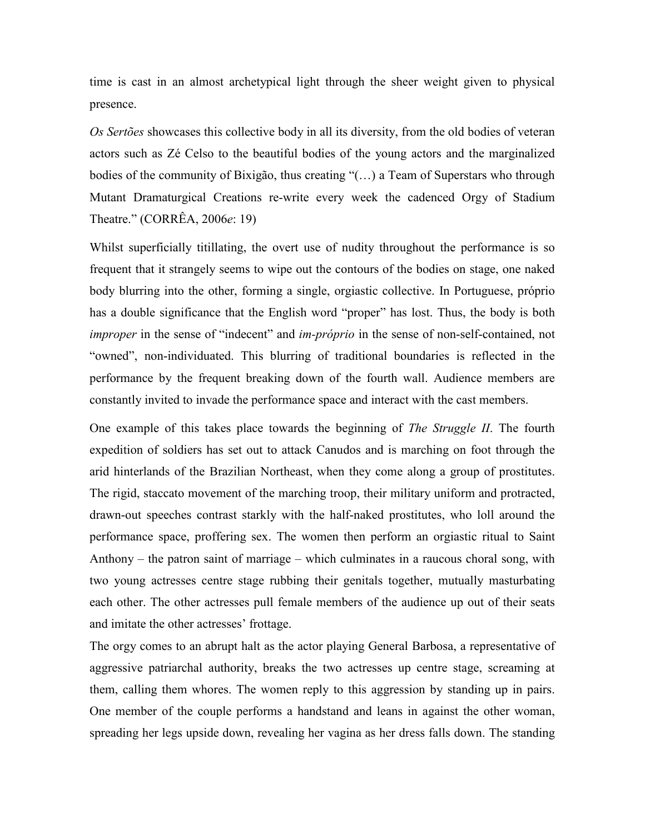time is cast in an almost archetypical light through the sheer weight given to physical presence.

*Os Sertões* showcases this collective body in all its diversity, from the old bodies of veteran actors such as Zé Celso to the beautiful bodies of the young actors and the marginalized bodies of the community of Bixigão, thus creating "(…) a Team of Superstars who through Mutant Dramaturgical Creations re-write every week the cadenced Orgy of Stadium Theatre." (CORRÊA, 2006*e*: 19)

Whilst superficially titillating, the overt use of nudity throughout the performance is so frequent that it strangely seems to wipe out the contours of the bodies on stage, one naked body blurring into the other, forming a single, orgiastic collective. In Portuguese, próprio has a double significance that the English word "proper" has lost. Thus, the body is both *improper* in the sense of "indecent" and *im-próprio* in the sense of non-self-contained, not "owned", non-individuated. This blurring of traditional boundaries is reflected in the performance by the frequent breaking down of the fourth wall. Audience members are constantly invited to invade the performance space and interact with the cast members.

One example of this takes place towards the beginning of *The Struggle II*. The fourth expedition of soldiers has set out to attack Canudos and is marching on foot through the arid hinterlands of the Brazilian Northeast, when they come along a group of prostitutes. The rigid, staccato movement of the marching troop, their military uniform and protracted, drawn-out speeches contrast starkly with the half-naked prostitutes, who loll around the performance space, proffering sex. The women then perform an orgiastic ritual to Saint Anthony – the patron saint of marriage – which culminates in a raucous choral song, with two young actresses centre stage rubbing their genitals together, mutually masturbating each other. The other actresses pull female members of the audience up out of their seats and imitate the other actresses' frottage.

The orgy comes to an abrupt halt as the actor playing General Barbosa, a representative of aggressive patriarchal authority, breaks the two actresses up centre stage, screaming at them, calling them whores. The women reply to this aggression by standing up in pairs. One member of the couple performs a handstand and leans in against the other woman, spreading her legs upside down, revealing her vagina as her dress falls down. The standing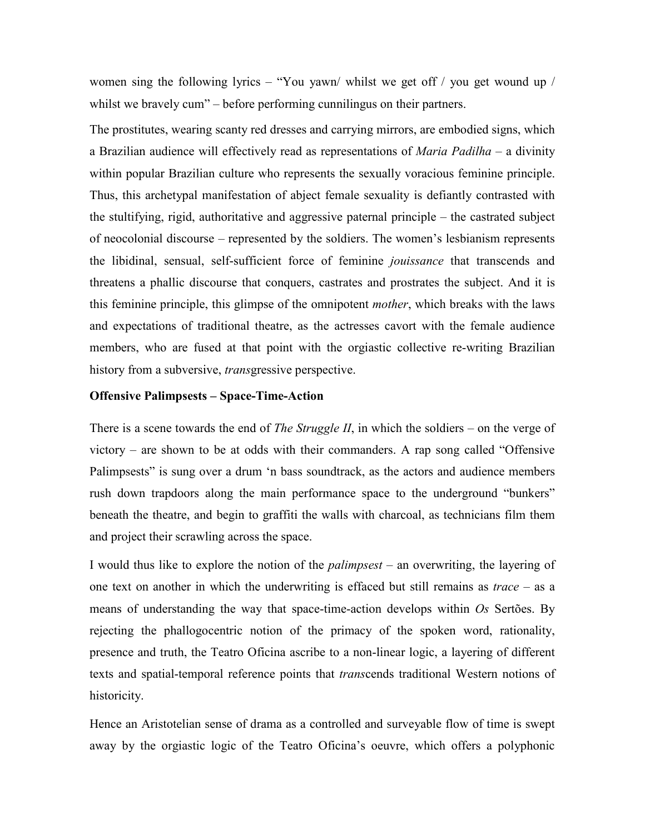women sing the following lyrics – "You yawn/ whilst we get off / you get wound up / whilst we bravely cum" – before performing cunnilingus on their partners.

The prostitutes, wearing scanty red dresses and carrying mirrors, are embodied signs, which a Brazilian audience will effectively read as representations of *Maria Padilha* – a divinity within popular Brazilian culture who represents the sexually voracious feminine principle. Thus, this archetypal manifestation of abject female sexuality is defiantly contrasted with the stultifying, rigid, authoritative and aggressive paternal principle – the castrated subject of neocolonial discourse – represented by the soldiers. The women's lesbianism represents the libidinal, sensual, self-sufficient force of feminine *jouissance* that transcends and threatens a phallic discourse that conquers, castrates and prostrates the subject. And it is this feminine principle, this glimpse of the omnipotent *mother*, which breaks with the laws and expectations of traditional theatre, as the actresses cavort with the female audience members, who are fused at that point with the orgiastic collective re-writing Brazilian history from a subversive, *trans*gressive perspective.

# **Offensive Palimpsests – Space-Time-Action**

There is a scene towards the end of *The Struggle II*, in which the soldiers – on the verge of victory – are shown to be at odds with their commanders. A rap song called "Offensive Palimpsests" is sung over a drum 'n bass soundtrack, as the actors and audience members rush down trapdoors along the main performance space to the underground "bunkers" beneath the theatre, and begin to graffiti the walls with charcoal, as technicians film them and project their scrawling across the space.

I would thus like to explore the notion of the *palimpsest* – an overwriting, the layering of one text on another in which the underwriting is effaced but still remains as *trace* – as a means of understanding the way that space-time-action develops within *Os* Sertões. By rejecting the phallogocentric notion of the primacy of the spoken word, rationality, presence and truth, the Teatro Oficina ascribe to a non-linear logic, a layering of different texts and spatial-temporal reference points that *trans*cends traditional Western notions of historicity.

Hence an Aristotelian sense of drama as a controlled and surveyable flow of time is swept away by the orgiastic logic of the Teatro Oficina's oeuvre, which offers a polyphonic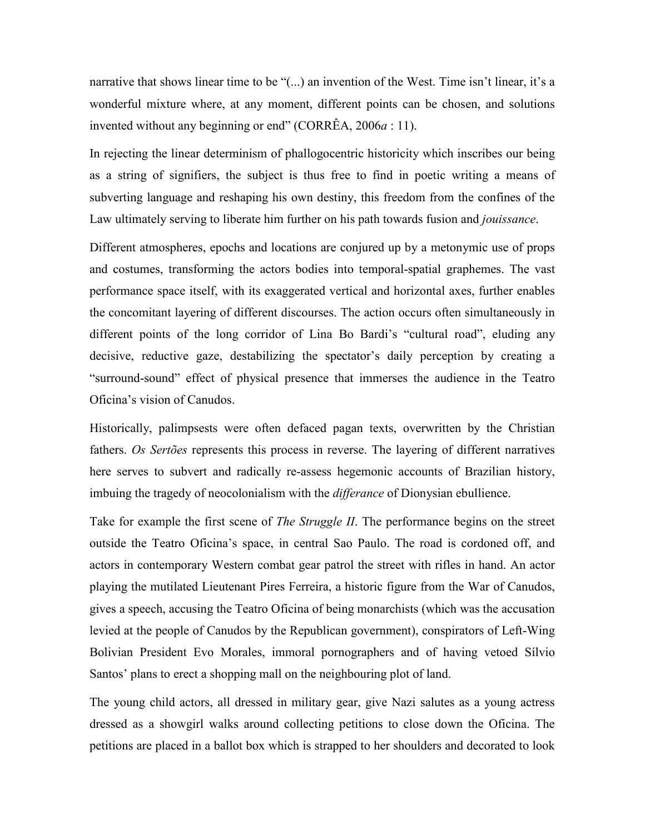narrative that shows linear time to be "(...) an invention of the West. Time isn't linear, it's a wonderful mixture where, at any moment, different points can be chosen, and solutions invented without any beginning or end" (CORRÊA, 2006*a* : 11).

In rejecting the linear determinism of phallogocentric historicity which inscribes our being as a string of signifiers, the subject is thus free to find in poetic writing a means of subverting language and reshaping his own destiny, this freedom from the confines of the Law ultimately serving to liberate him further on his path towards fusion and *jouissance*.

Different atmospheres, epochs and locations are conjured up by a metonymic use of props and costumes, transforming the actors bodies into temporal-spatial graphemes. The vast performance space itself, with its exaggerated vertical and horizontal axes, further enables the concomitant layering of different discourses. The action occurs often simultaneously in different points of the long corridor of Lina Bo Bardi's "cultural road", eluding any decisive, reductive gaze, destabilizing the spectator's daily perception by creating a "surround-sound" effect of physical presence that immerses the audience in the Teatro Oficina's vision of Canudos.

Historically, palimpsests were often defaced pagan texts, overwritten by the Christian fathers. *Os Sertões* represents this process in reverse. The layering of different narratives here serves to subvert and radically re-assess hegemonic accounts of Brazilian history, imbuing the tragedy of neocolonialism with the *differance* of Dionysian ebullience.

Take for example the first scene of *The Struggle II*. The performance begins on the street outside the Teatro Oficina's space, in central Sao Paulo. The road is cordoned off, and actors in contemporary Western combat gear patrol the street with rifles in hand. An actor playing the mutilated Lieutenant Pires Ferreira, a historic figure from the War of Canudos, gives a speech, accusing the Teatro Oficina of being monarchists (which was the accusation levied at the people of Canudos by the Republican government), conspirators of Left-Wing Bolivian President Evo Morales, immoral pornographers and of having vetoed Sílvio Santos' plans to erect a shopping mall on the neighbouring plot of land.

The young child actors, all dressed in military gear, give Nazi salutes as a young actress dressed as a showgirl walks around collecting petitions to close down the Oficina. The petitions are placed in a ballot box which is strapped to her shoulders and decorated to look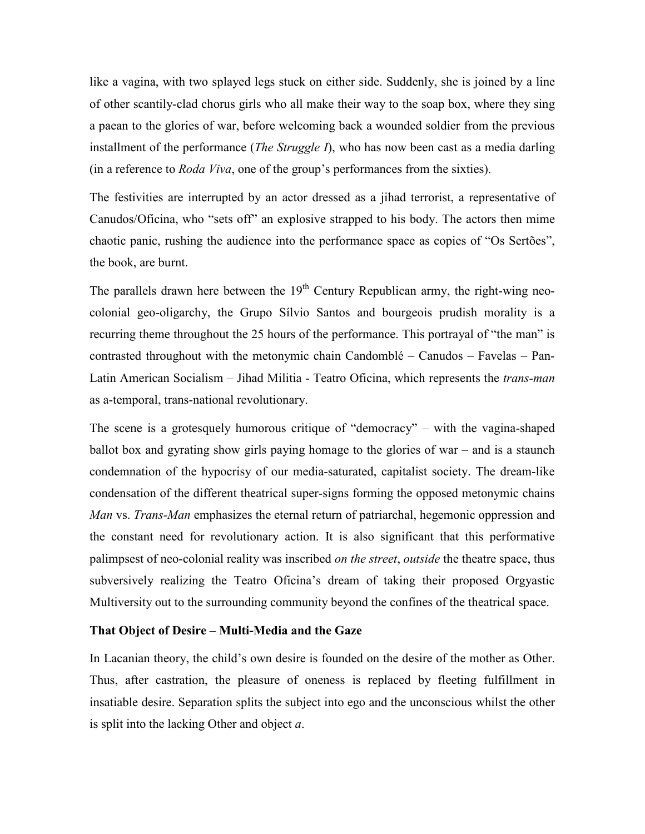like a vagina, with two splayed legs stuck on either side. Suddenly, she is joined by a line of other scantily-clad chorus girls who all make their way to the soap box, where they sing a paean to the glories of war, before welcoming back a wounded soldier from the previous installment of the performance (*The Struggle I*), who has now been cast as a media darling (in a reference to *Roda Viva*, one of the group's performances from the sixties).

The festivities are interrupted by an actor dressed as a jihad terrorist, a representative of Canudos/Oficina, who "sets off" an explosive strapped to his body. The actors then mime chaotic panic, rushing the audience into the performance space as copies of "Os Sertões", the book, are burnt.

The parallels drawn here between the  $19<sup>th</sup>$  Century Republican army, the right-wing neocolonial geo-oligarchy, the Grupo Sílvio Santos and bourgeois prudish morality is a recurring theme throughout the 25 hours of the performance. This portrayal of "the man" is contrasted throughout with the metonymic chain Candomblé – Canudos – Favelas – Pan-Latin American Socialism – Jihad Militia - Teatro Oficina, which represents the *trans-man* as a-temporal, trans-national revolutionary.

The scene is a grotesquely humorous critique of "democracy" – with the vagina-shaped ballot box and gyrating show girls paying homage to the glories of war – and is a staunch condemnation of the hypocrisy of our media-saturated, capitalist society. The dream-like condensation of the different theatrical super-signs forming the opposed metonymic chains *Man* vs. *Trans-Man* emphasizes the eternal return of patriarchal, hegemonic oppression and the constant need for revolutionary action. It is also significant that this performative palimpsest of neo-colonial reality was inscribed *on the street*, *outside* the theatre space, thus subversively realizing the Teatro Oficina's dream of taking their proposed Orgyastic Multiversity out to the surrounding community beyond the confines of the theatrical space.

#### **That Object of Desire – Multi-Media and the Gaze**

In Lacanian theory, the child's own desire is founded on the desire of the mother as Other. Thus, after castration, the pleasure of oneness is replaced by fleeting fulfillment in insatiable desire. Separation splits the subject into ego and the unconscious whilst the other is split into the lacking Other and object *a*.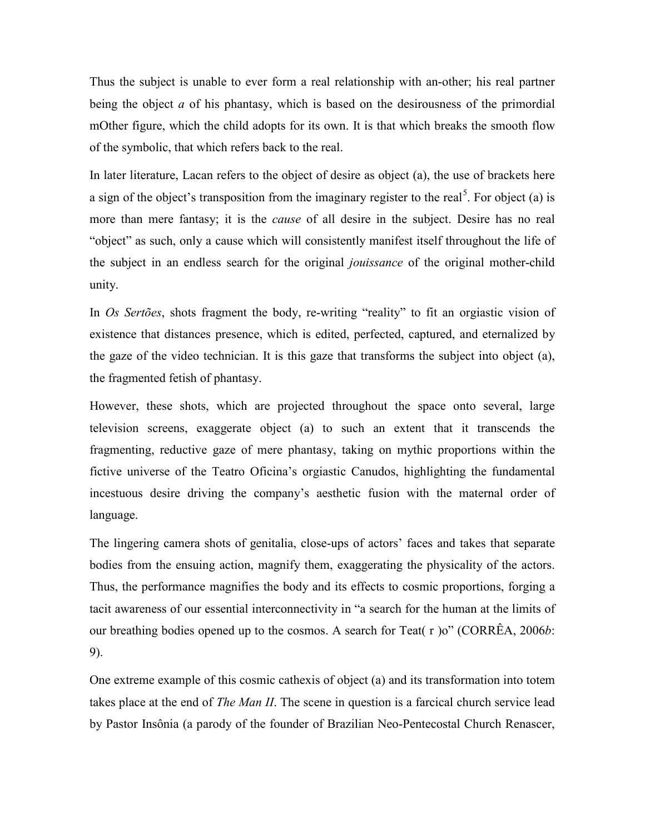Thus the subject is unable to ever form a real relationship with an-other; his real partner being the object *a* of his phantasy, which is based on the desirousness of the primordial mOther figure, which the child adopts for its own. It is that which breaks the smooth flow of the symbolic, that which refers back to the real.

In later literature, Lacan refers to the object of desire as object (a), the use of brackets here a sign of the object's transposition from the imaginary register to the real<sup>[5](#page-14-0)</sup>. For object (a) is more than mere fantasy; it is the *cause* of all desire in the subject. Desire has no real "object" as such, only a cause which will consistently manifest itself throughout the life of the subject in an endless search for the original *jouissance* of the original mother-child unity.

In *Os Sertões*, shots fragment the body, re-writing "reality" to fit an orgiastic vision of existence that distances presence, which is edited, perfected, captured, and eternalized by the gaze of the video technician. It is this gaze that transforms the subject into object (a), the fragmented fetish of phantasy.

However, these shots, which are projected throughout the space onto several, large television screens, exaggerate object (a) to such an extent that it transcends the fragmenting, reductive gaze of mere phantasy, taking on mythic proportions within the fictive universe of the Teatro Oficina's orgiastic Canudos, highlighting the fundamental incestuous desire driving the company's aesthetic fusion with the maternal order of language.

The lingering camera shots of genitalia, close-ups of actors' faces and takes that separate bodies from the ensuing action, magnify them, exaggerating the physicality of the actors. Thus, the performance magnifies the body and its effects to cosmic proportions, forging a tacit awareness of our essential interconnectivity in "a search for the human at the limits of our breathing bodies opened up to the cosmos. A search for Teat( r )o" (CORRÊA, 2006*b*: 9).

<span id="page-14-0"></span>One extreme example of this cosmic cathexis of object (a) and its transformation into totem takes place at the end of *The Man II*. The scene in question is a farcical church service lead by Pastor Insônia (a parody of the founder of Brazilian Neo-Pentecostal Church Renascer,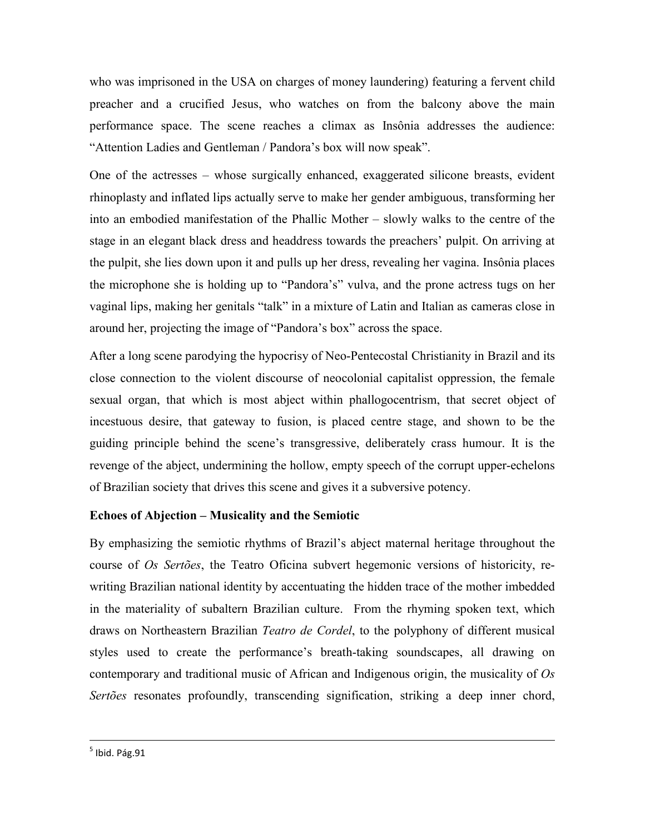who was imprisoned in the USA on charges of money laundering) featuring a fervent child preacher and a crucified Jesus, who watches on from the balcony above the main performance space. The scene reaches a climax as Insônia addresses the audience: "Attention Ladies and Gentleman / Pandora's box will now speak".

One of the actresses – whose surgically enhanced, exaggerated silicone breasts, evident rhinoplasty and inflated lips actually serve to make her gender ambiguous, transforming her into an embodied manifestation of the Phallic Mother – slowly walks to the centre of the stage in an elegant black dress and headdress towards the preachers' pulpit. On arriving at the pulpit, she lies down upon it and pulls up her dress, revealing her vagina. Insônia places the microphone she is holding up to "Pandora's" vulva, and the prone actress tugs on her vaginal lips, making her genitals "talk" in a mixture of Latin and Italian as cameras close in around her, projecting the image of "Pandora's box" across the space.

After a long scene parodying the hypocrisy of Neo-Pentecostal Christianity in Brazil and its close connection to the violent discourse of neocolonial capitalist oppression, the female sexual organ, that which is most abject within phallogocentrism, that secret object of incestuous desire, that gateway to fusion, is placed centre stage, and shown to be the guiding principle behind the scene's transgressive, deliberately crass humour. It is the revenge of the abject, undermining the hollow, empty speech of the corrupt upper-echelons of Brazilian society that drives this scene and gives it a subversive potency.

# **Echoes of Abjection – Musicality and the Semiotic**

By emphasizing the semiotic rhythms of Brazil's abject maternal heritage throughout the course of *Os Sertões*, the Teatro Oficina subvert hegemonic versions of historicity, rewriting Brazilian national identity by accentuating the hidden trace of the mother imbedded in the materiality of subaltern Brazilian culture. From the rhyming spoken text, which draws on Northeastern Brazilian *Teatro de Cordel*, to the polyphony of different musical styles used to create the performance's breath-taking soundscapes, all drawing on contemporary and traditional music of African and Indigenous origin, the musicality of *Os Sertões* resonates profoundly, transcending signification, striking a deep inner chord,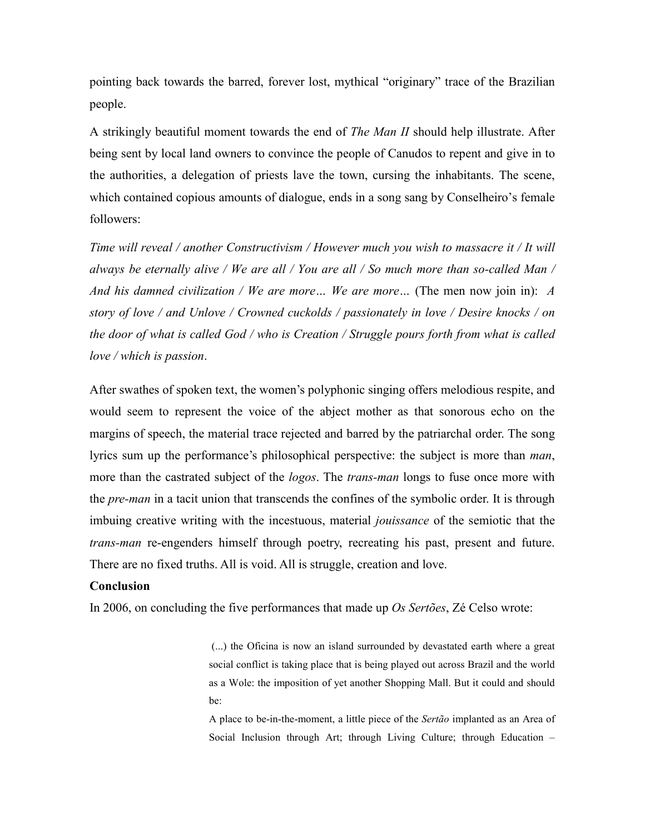pointing back towards the barred, forever lost, mythical "originary" trace of the Brazilian people.

A strikingly beautiful moment towards the end of *The Man II* should help illustrate. After being sent by local land owners to convince the people of Canudos to repent and give in to the authorities, a delegation of priests lave the town, cursing the inhabitants. The scene, which contained copious amounts of dialogue, ends in a song sang by Conselheiro's female followers:

*Time will reveal / another Constructivism / However much you wish to massacre it / It will always be eternally alive / We are all / You are all / So much more than so-called Man / And his damned civilization / We are more… We are more…* (The men now join in): *A story of love / and Unlove / Crowned cuckolds / passionately in love / Desire knocks / on the door of what is called God / who is Creation / Struggle pours forth from what is called love / which is passion*.

After swathes of spoken text, the women's polyphonic singing offers melodious respite, and would seem to represent the voice of the abject mother as that sonorous echo on the margins of speech, the material trace rejected and barred by the patriarchal order. The song lyrics sum up the performance's philosophical perspective: the subject is more than *man*, more than the castrated subject of the *logos*. The *trans-man* longs to fuse once more with the *pre-man* in a tacit union that transcends the confines of the symbolic order. It is through imbuing creative writing with the incestuous, material *jouissance* of the semiotic that the *trans-man* re-engenders himself through poetry, recreating his past, present and future. There are no fixed truths. All is void. All is struggle, creation and love.

# **Conclusion**

In 2006, on concluding the five performances that made up *Os Sertões*, Zé Celso wrote:

(...) the Oficina is now an island surrounded by devastated earth where a great social conflict is taking place that is being played out across Brazil and the world as a Wole: the imposition of yet another Shopping Mall. But it could and should be:

A place to be-in-the-moment, a little piece of the *Sertão* implanted as an Area of Social Inclusion through Art; through Living Culture; through Education –